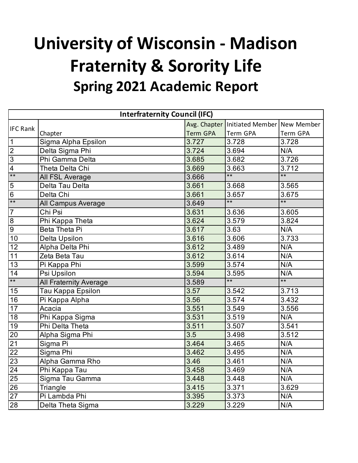## **University of Wisconsin - Madison Spring 2021 Academic Report Fraternity & Sorority Life**

| <b>Interfraternity Council (IFC)</b> |                               |                 |                                              |                 |
|--------------------------------------|-------------------------------|-----------------|----------------------------------------------|-----------------|
| <b>IFC Rank</b>                      |                               |                 | Avg. Chapter   Initiated Member   New Member |                 |
|                                      | Chapter                       | <b>Term GPA</b> | <b>Term GPA</b>                              | <b>Term GPA</b> |
| $\mathbf 1$                          | Sigma Alpha Epsilon           | 3.727           | 3.728                                        | 3.728           |
| $\overline{2}$                       | Delta Sigma Phi               | 3.724           | 3.694                                        | N/A             |
| $\overline{3}$                       | Phi Gamma Delta               | 3.685           | 3.682                                        | 3.726           |
| $\overline{4}$                       | Theta Delta Chi               | 3.669           | 3.663                                        | 3.712           |
| $\overline{**}$                      | All FSL Average               | 3.666           | $\ddot{x}$                                   | $**$            |
| 5                                    | Delta Tau Delta               | 3.661           | 3.668                                        | 3.565           |
| $\overline{6}$                       | Delta Chi                     | 3.661           | 3.657                                        | 3.675           |
| $***$                                | All Campus Average            | 3.649           | $*$                                          | $**$            |
| $\overline{7}$                       | Chi Psi                       | 3.631           | 3.636                                        | 3.605           |
| 8                                    | Phi Kappa Theta               | 3.624           | 3.579                                        | 3.824           |
| 9                                    | Beta Theta Pi                 | 3.617           | 3.63                                         | N/A             |
| 10                                   | <b>Delta Upsilon</b>          | 3.616           | 3.606                                        | 3.733           |
| 12                                   | Alpha Delta Phi               | 3.612           | 3.489                                        | N/A             |
| 11                                   | Zeta Beta Tau                 | 3.612           | 3.614                                        | N/A             |
| 13                                   | Pi Kappa Phi                  | 3.599           | 3.574                                        | N/A             |
| 14                                   | Psi Upsilon                   | 3.594           | 3.595                                        | N/A             |
| $***$                                | <b>All Fraternity Average</b> | 3.589           | $\overline{**}$                              | $***$           |
| 15                                   | Tau Kappa Epsilon             | 3.57            | 3.542                                        | 3.713           |
| 16                                   | Pi Kappa Alpha                | 3.56            | 3.574                                        | 3.432           |
| 17                                   | Acacia                        | 3.551           | 3.549                                        | 3.556           |
| 18                                   | Phi Kappa Sigma               | 3.531           | 3.519                                        | N/A             |
| 19                                   | Phi Delta Theta               | 3.511           | 3.507                                        | 3.541           |
| 20                                   | Alpha Sigma Phi               | 3.5             | 3.498                                        | 3.512           |
| $\overline{21}$                      | Sigma Pi                      | 3.464           | 3.465                                        | N/A             |
| $\overline{22}$                      | Sigma Phi                     | 3.462           | 3.495                                        | N/A             |
| $\overline{23}$                      | Alpha Gamma Rho               | 3.46            | 3.461                                        | N/A             |
| 24                                   | Phi Kappa Tau                 | 3.458           | 3.469                                        | N/A             |
| $\overline{25}$                      | Sigma Tau Gamma               | 3.448           | 3.448                                        | N/A             |
| 26                                   | Triangle                      | 3.415           | 3.371                                        | 3.629           |
| 27                                   | Pi Lambda Phi                 | 3.395           | 3.373                                        | N/A             |
| 28                                   | Delta Theta Sigma             | 3.229           | 3.229                                        | N/A             |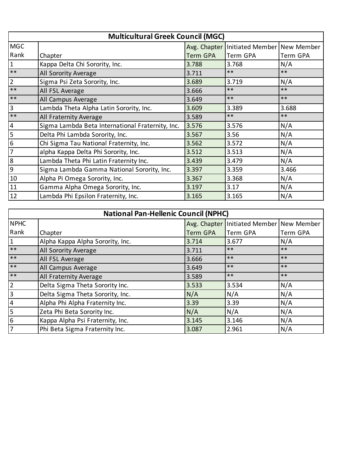| <b>Multicultural Greek Council (MGC)</b> |                                                  |          |                                          |          |
|------------------------------------------|--------------------------------------------------|----------|------------------------------------------|----------|
| <b>MGC</b>                               |                                                  |          | Avg. Chapter Initiated Member New Member |          |
| Rank                                     | Chapter                                          | Term GPA | Term GPA                                 | Term GPA |
| $\mathbf{1}$                             | Kappa Delta Chi Sorority, Inc.                   | 3.788    | 3.768                                    | N/A      |
| $**$                                     | All Sorority Average                             | 3.711    | $***$                                    | $***$    |
| $\overline{2}$                           | Sigma Psi Zeta Sorority, Inc.                    | 3.689    | 3.719                                    | N/A      |
| $**$                                     | All FSL Average                                  | 3.666    | $***$                                    | $***$    |
| $***$                                    | All Campus Average                               | 3.649    | $***$                                    | $***$    |
| 3                                        | Lambda Theta Alpha Latin Sorority, Inc.          | 3.609    | 3.389                                    | 3.688    |
| $***$                                    | All Fraternity Average                           | 3.589    | $***$                                    | $***$    |
| $\overline{\mathbf{4}}$                  | Sigma Lambda Beta International Fraternity, Inc. | 3.576    | 3.576                                    | N/A      |
| 5                                        | Delta Phi Lambda Sorority, Inc.                  | 3.567    | 3.56                                     | N/A      |
| 6                                        | Chi Sigma Tau National Fraternity, Inc.          | 3.562    | 3.572                                    | N/A      |
| 7                                        | alpha Kappa Delta Phi Sorority, Inc.             | 3.512    | 3.513                                    | N/A      |
| 8                                        | Lambda Theta Phi Latin Fraternity Inc.           | 3.439    | 3.479                                    | N/A      |
| 9                                        | Sigma Lambda Gamma National Sorority, Inc.       | 3.397    | 3.359                                    | 3.466    |
| 10                                       | Alpha Pi Omega Sorority, Inc.                    | 3.367    | 3.368                                    | N/A      |
| 11                                       | Gamma Alpha Omega Sorority, Inc.                 | 3.197    | 3.17                                     | N/A      |
| 12                                       | Lambda Phi Epsilon Fraternity, Inc.              | 3.165    | 3.165                                    | N/A      |

| <b>National Pan-Hellenic Council (NPHC)</b> |                                  |                 |                                              |          |
|---------------------------------------------|----------------------------------|-----------------|----------------------------------------------|----------|
| <b>NPHC</b>                                 |                                  |                 | Avg. Chapter   Initiated Member   New Member |          |
| Rank                                        | Chapter                          | <b>Term GPA</b> | Term GPA                                     | Term GPA |
| $\mathbf{1}$                                | Alpha Kappa Alpha Sorority, Inc. | 3.714           | 3.677                                        | N/A      |
| $***$                                       | <b>All Sorority Average</b>      | 3.711           | $***$                                        | $***$    |
| $**$                                        | All FSL Average                  | 3.666           | $***$                                        | $***$    |
| $***$                                       | All Campus Average               | 3.649           | $***$                                        | $***$    |
| $***$                                       | <b>All Fraternity Average</b>    | 3.589           | $***$                                        | $***$    |
| $\overline{2}$                              | Delta Sigma Theta Sorority Inc.  | 3.533           | 3.534                                        | N/A      |
| $\overline{3}$                              | Delta Sigma Theta Sorority, Inc. | N/A             | N/A                                          | N/A      |
| $\overline{4}$                              | Alpha Phi Alpha Fraternity Inc.  | 3.39            | 3.39                                         | N/A      |
| 5                                           | Zeta Phi Beta Sorority Inc.      | N/A             | N/A                                          | N/A      |
| 6                                           | Kappa Alpha Psi Fraternity, Inc. | 3.145           | 3.146                                        | N/A      |
| $\overline{7}$                              | Phi Beta Sigma Fraternity Inc.   | 3.087           | 2.961                                        | N/A      |